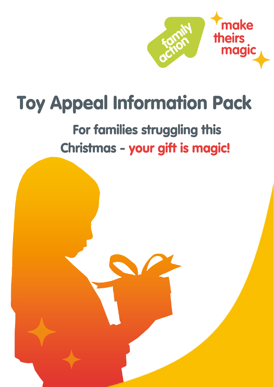

# **Toy Appeal Information Pack**

# For families struggling this Christmas - your gift is magic!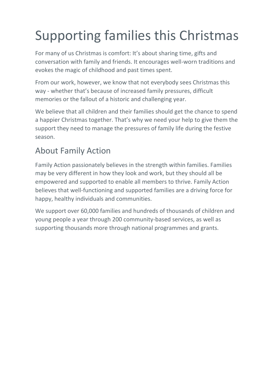# Supporting families this Christmas

For many of us Christmas is comfort: It's about sharing time, gifts and conversation with family and friends. It encourages well-worn traditions and evokes the magic of childhood and past times spent.

From our work, however, we know that not everybody sees Christmas this way - whether that's because of increased family pressures, difficult memories or the fallout of a historic and challenging year.

We believe that all children and their families should get the chance to spend a happier Christmas together. That's why we need your help to give them the support they need to manage the pressures of family life during the festive season.

### About Family Action

Family Action passionately believes in the strength within families. Families may be very different in how they look and work, but they should all be empowered and supported to enable all members to thrive. Family Action believes that well-functioning and supported families are a driving force for happy, healthy individuals and communities.

We support over 60,000 families and hundreds of thousands of children and young people a year through 200 community-based services, as well as supporting thousands more through national programmes and grants.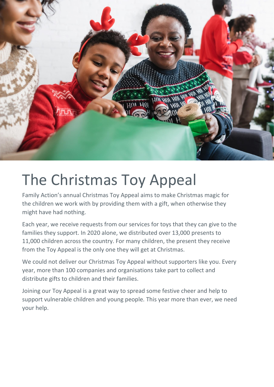

# The Christmas Toy Appeal

Family Action's annual Christmas Toy Appeal aims to make Christmas magic for the children we work with by providing them with a gift, when otherwise they might have had nothing.

Each year, we receive requests from our services for toys that they can give to the families they support. In 2020 alone, we distributed over 13,000 presents to 11,000 children across the country. For many children, the present they receive from the Toy Appeal is the only one they will get at Christmas.

We could not deliver our Christmas Toy Appeal without supporters like you. Every year, more than 100 companies and organisations take part to collect and distribute gifts to children and their families.

Joining our Toy Appeal is a great way to spread some festive cheer and help to support vulnerable children and young people. This year more than ever, we need your help.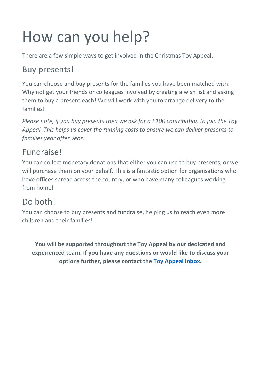# How can you help?

There are a few simple ways to get involved in the Christmas Toy Appeal.

### Buy presents!

You can choose and buy presents for the families you have been matched with. Why not get your friends or colleagues involved by creating a wish list and asking them to buy a present each! We will work with you to arrange delivery to the families!

*Please note, if you buy presents then we ask for a £100 contribution to join the Toy Appeal. This helps us cover the running costs to ensure we can deliver presents to families year after year.*

### Fundraise!

You can collect monetary donations that either you can use to buy presents, or we will purchase them on your behalf. This is a fantastic option for organisations who have offices spread across the country, or who have many colleagues working from home!

### Do both!

You can choose to buy presents and fundraise, helping us to reach even more children and their families!

**You will be supported throughout the Toy Appeal by our dedicated and experienced team. If you have any questions or would like to discuss your options further, please contact the [Toy Appeal inbox.](mailto:toyappeal@family-action.org.uk)**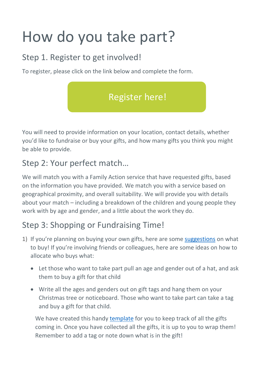# How do you take part?

### Step 1. Register to get involved!

To register, please click on the link below and complete the form.



You will need to provide information on your location, contact details, whether you'd like to fundraise or buy your gifts, and how many gifts you think you might be able to provide.

#### Step 2: Your perfect match…

We will match you with a Family Action service that have requested gifts, based on the information you have provided. We match you with a service based on geographical proximity, and overall suitability. We will provide you with details about your match – including a breakdown of the children and young people they work with by age and gender, and a little about the work they do.

### Step 3: Shopping or Fundraising Time!

- 1) If you're planning on buying your own gifts, here are some [suggestions](https://www.family-action.org.uk/content/uploads/2018/10/Gift-Suggestions-.pdf) on what to buy! If you're involving friends or colleagues, here are some ideas on how to allocate who buys what:
	- Let those who want to take part pull an age and gender out of a hat, and ask them to buy a gift for that child
	- Write all the ages and genders out on gift tags and hang them on your Christmas tree or noticeboard. Those who want to take part can take a tag and buy a gift for that child.

We have created this handy [template](https://www.family-action.org.uk/content/uploads/2020/10/gift-match-spreadsheet-1.xlsx) for you to keep track of all the gifts coming in. Once you have collected all the gifts, it is up to you to wrap them! Remember to add a tag or note down what is in the gift!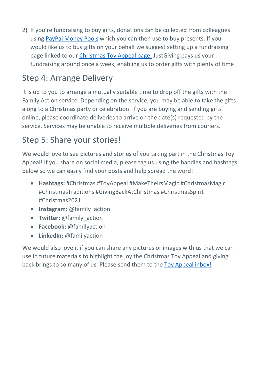2) If you're fundraising to buy gifts, donations can be collected from colleagues using [PayPal Money Pools](https://www.paypal.com/uk/webapps/mpp/money-pools) which you can then use to buy presents. If you would like us to buy gifts on your behalf we suggest setting up a fundraising page linked to our Christmas [Toy Appeal page.](https://www.justgiving.com/campaign/ToyAppeal2021) JustGiving pays us your fundraising around once a week, enabling us to order gifts with plenty of time!

### Step 4: Arrange Delivery

It is up to you to arrange a mutually suitable time to drop off the gifts with the Family Action service. Depending on the service, you may be able to take the gifts along to a Christmas party or celebration. If you are buying and sending gifts online, please coordinate deliveries to arrive on the date(s) requested by the service. Services may be unable to receive multiple deliveries from couriers.

#### Step 5: Share your stories!

We would love to see pictures and stories of you taking part in the Christmas Toy Appeal! If you share on social media, please tag us using the handles and hashtags below so we can easily find your posts and help spread the word!

- **Hashtags:** #Christmas #ToyAppeal #MakeTheirsMagic #ChristmasMagic #ChristmasTraditions #GivingBackAtChristmas #ChristmasSpirit #Christmas2021
- **Instagram:** @family\_action
- **Twitter:** @family\_action
- **Facebook:** @familyaction
- **LinkedIn:** @familyaction

We would also love it if you can share any pictures or images with us that we can use in future materials to highlight the joy the Christmas Toy Appeal and giving back brings to so many of us. Please send them to the [Toy Appeal inbox!](mailto:toyappeal@family-action.org.uk)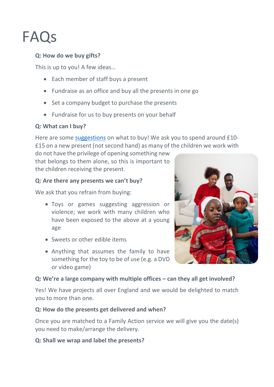## FAQs

#### **Q: How do we buy gifts?**

This is up to you! A few ideas…

- Each member of staff buys a present
- Fundraise as an office and buy all the presents in one go
- Set a company budget to purchase the presents
- Fundraise for us to buy presents on your behalf

#### **Q: What can I buy?**

Here are some [suggestions](https://www.family-action.org.uk/content/uploads/2018/10/Gift-Suggestions-.pdf) on what to buy! We ask you to spend around £10- £15 on a new present (not second hand) as many of the children we work with

do not have the privilege of opening something new that belongs to them alone, so this is important to the children receiving the present.

#### **Q: Are there any presents we can't buy?**

We ask that you refrain from buying:

- Toys or games suggesting aggression or violence; we work with many children who have been exposed to the above at a young age
- Sweets or other edible items
- Anything that assumes the family to have something for the toy to be of use (e.g. a DVD or video game)

#### **Q: We're a large company with multiple offices – can they all get involved?**

Yes! We have projects all over England and we would be delighted to match you to more than one.

#### **Q: How do the presents get delivered and when?**

Once you are matched to a Family Action service we will give you the date(s) you need to make/arrange the delivery.

#### **Q: Shall we wrap and label the presents?**